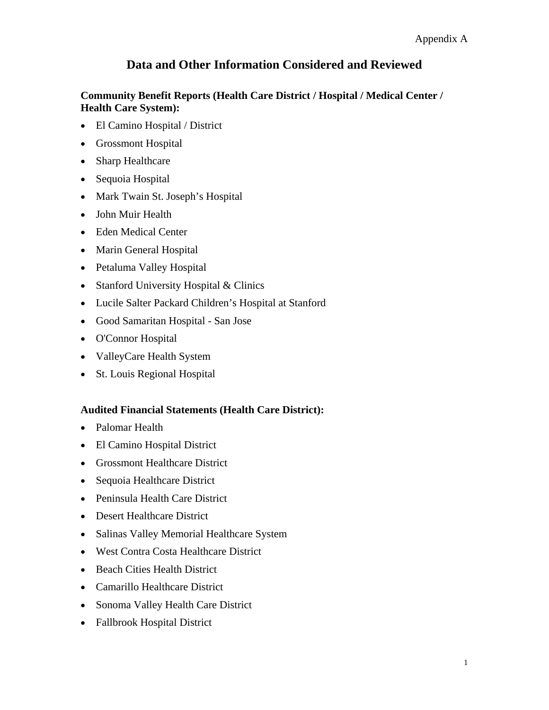## **Community Benefit Reports (Health Care District / Hospital / Medical Center / Health Care System):**

- El Camino Hospital / District
- Grossmont Hospital
- Sharp Healthcare
- Sequoia Hospital
- Mark Twain St. Joseph's Hospital
- John Muir Health
- Eden Medical Center
- Marin General Hospital
- Petaluma Valley Hospital
- Stanford University Hospital & Clinics
- Lucile Salter Packard Children's Hospital at Stanford
- Good Samaritan Hospital San Jose
- O'Connor Hospital
- ValleyCare Health System
- St. Louis Regional Hospital

## **Audited Financial Statements (Health Care District):**

- Palomar Health
- El Camino Hospital District
- Grossmont Healthcare District
- Sequoia Healthcare District
- Peninsula Health Care District
- Desert Healthcare District
- Salinas Valley Memorial Healthcare System
- West Contra Costa Healthcare District
- Beach Cities Health District
- Camarillo Healthcare District
- Sonoma Valley Health Care District
- Fallbrook Hospital District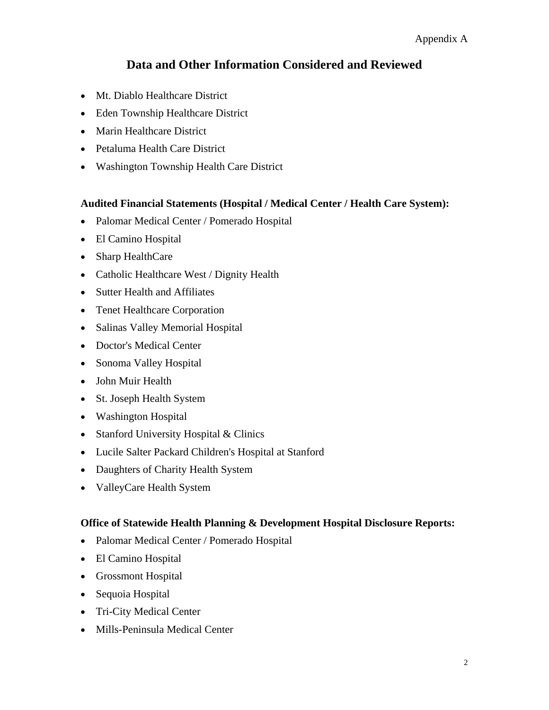- Mt. Diablo Healthcare District
- Eden Township Healthcare District
- Marin Healthcare District
- Petaluma Health Care District
- Washington Township Health Care District

## **Audited Financial Statements (Hospital / Medical Center / Health Care System):**

- Palomar Medical Center / Pomerado Hospital
- El Camino Hospital
- Sharp HealthCare
- Catholic Healthcare West / Dignity Health
- Sutter Health and Affiliates
- Tenet Healthcare Corporation
- Salinas Valley Memorial Hospital
- Doctor's Medical Center
- Sonoma Valley Hospital
- John Muir Health
- St. Joseph Health System
- Washington Hospital
- Stanford University Hospital & Clinics
- Lucile Salter Packard Children's Hospital at Stanford
- Daughters of Charity Health System
- ValleyCare Health System

## **Office of Statewide Health Planning & Development Hospital Disclosure Reports:**

- Palomar Medical Center / Pomerado Hospital
- El Camino Hospital
- Grossmont Hospital
- Sequoia Hospital
- Tri-City Medical Center
- Mills-Peninsula Medical Center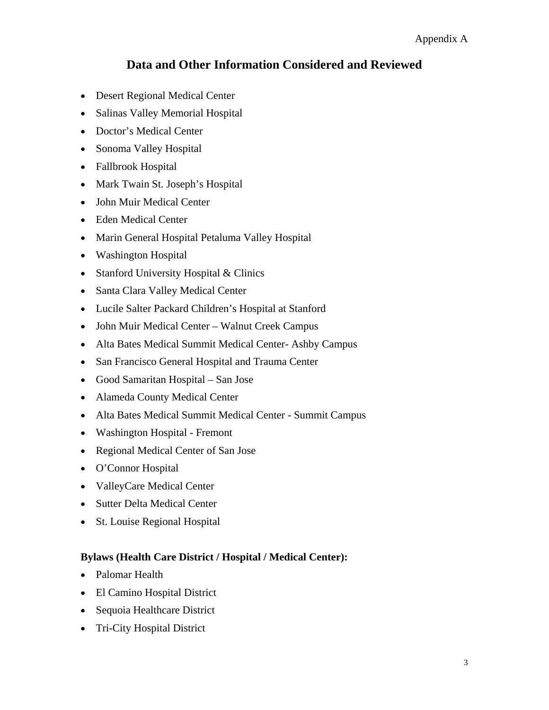- Desert Regional Medical Center
- Salinas Valley Memorial Hospital
- Doctor's Medical Center
- Sonoma Valley Hospital
- Fallbrook Hospital
- Mark Twain St. Joseph's Hospital
- John Muir Medical Center
- Eden Medical Center
- Marin General Hospital Petaluma Valley Hospital
- Washington Hospital
- Stanford University Hospital & Clinics
- Santa Clara Valley Medical Center
- Lucile Salter Packard Children's Hospital at Stanford
- John Muir Medical Center Walnut Creek Campus
- Alta Bates Medical Summit Medical Center- Ashby Campus
- San Francisco General Hospital and Trauma Center
- Good Samaritan Hospital San Jose
- Alameda County Medical Center
- Alta Bates Medical Summit Medical Center Summit Campus
- Washington Hospital Fremont
- Regional Medical Center of San Jose
- O'Connor Hospital
- ValleyCare Medical Center
- Sutter Delta Medical Center
- St. Louise Regional Hospital

## **Bylaws (Health Care District / Hospital / Medical Center):**

- Palomar Health
- El Camino Hospital District
- Sequoia Healthcare District
- Tri-City Hospital District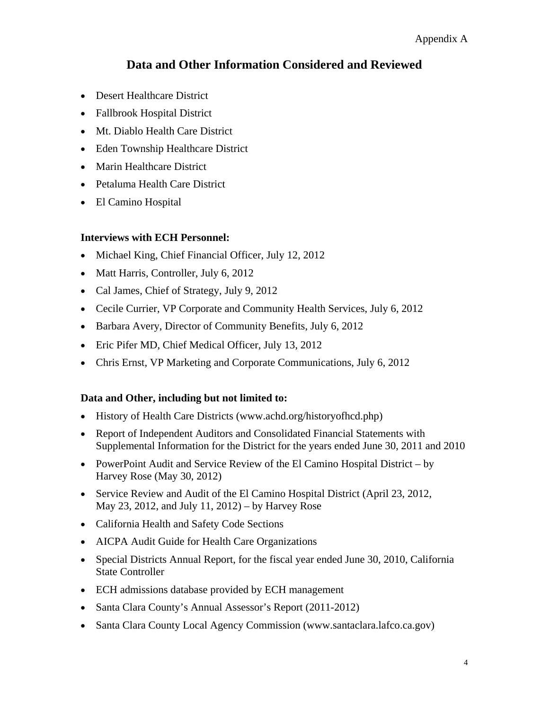### Appendix A

# **Data and Other Information Considered and Reviewed**

- Desert Healthcare District
- Fallbrook Hospital District
- Mt. Diablo Health Care District
- Eden Township Healthcare District
- Marin Healthcare District
- Petaluma Health Care District
- El Camino Hospital

### **Interviews with ECH Personnel:**

- Michael King, Chief Financial Officer, July 12, 2012
- Matt Harris, Controller, July 6, 2012
- Cal James, Chief of Strategy, July 9, 2012
- Cecile Currier, VP Corporate and Community Health Services, July 6, 2012
- Barbara Avery, Director of Community Benefits, July 6, 2012
- Eric Pifer MD, Chief Medical Officer, July 13, 2012
- Chris Ernst, VP Marketing and Corporate Communications, July 6, 2012

### **Data and Other, including but not limited to:**

- History of Health Care Districts (www.achd.org/historyofhcd.php)
- Report of Independent Auditors and Consolidated Financial Statements with Supplemental Information for the District for the years ended June 30, 2011 and 2010
- PowerPoint Audit and Service Review of the El Camino Hospital District by Harvey Rose (May 30, 2012)
- Service Review and Audit of the El Camino Hospital District (April 23, 2012, May 23, 2012, and July 11, 2012) – by Harvey Rose
- California Health and Safety Code Sections
- AICPA Audit Guide for Health Care Organizations
- Special Districts Annual Report, for the fiscal year ended June 30, 2010, California State Controller
- ECH admissions database provided by ECH management
- Santa Clara County's Annual Assessor's Report (2011-2012)
- Santa Clara County Local Agency Commission (www.santaclara.lafco.ca.gov)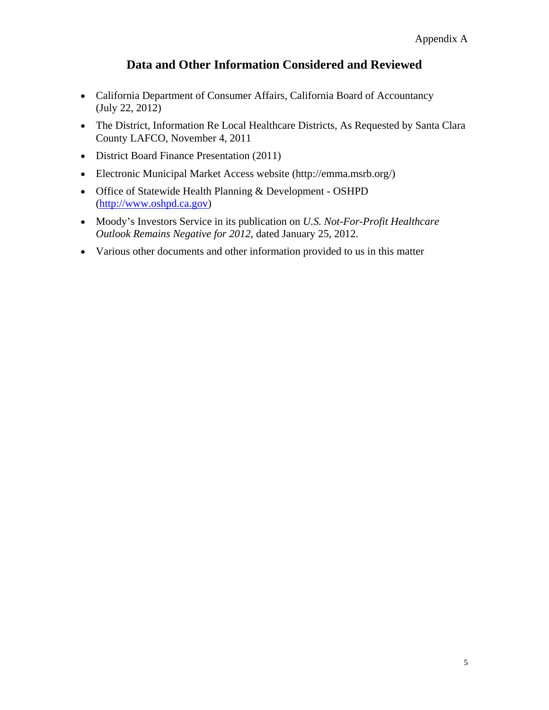- California Department of Consumer Affairs, California Board of Accountancy (July 22, 2012)
- The District, Information Re Local Healthcare Districts, As Requested by Santa Clara County LAFCO, November 4, 2011
- District Board Finance Presentation (2011)
- Electronic Municipal Market Access website (http://emma.msrb.org/)
- Office of Statewide Health Planning & Development OSHPD (http://www.oshpd.ca.gov)
- Moody's Investors Service in its publication on *U.S. Not-For-Profit Healthcare Outlook Remains Negative for 2012*, dated January 25, 2012.
- Various other documents and other information provided to us in this matter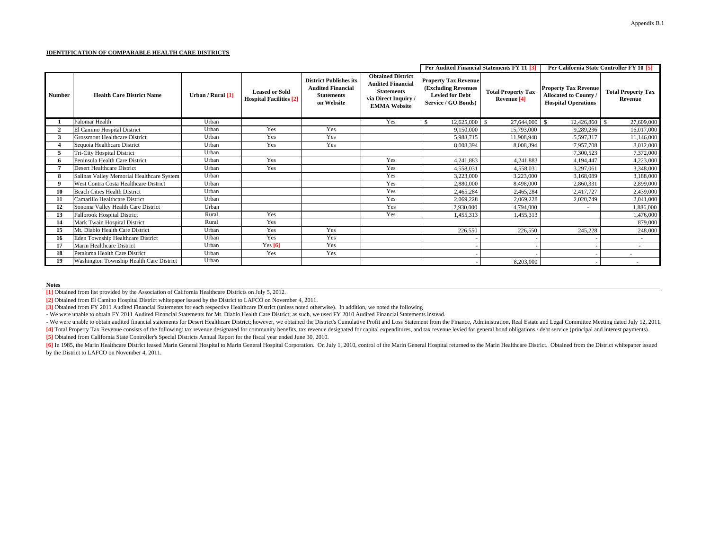#### **IDENTIFICATION OF COMPARABLE HEALTH CARE DISTRICTS**

|               |                                           |                   |                                                         |                                                                                              |                                                                                                                          | Per Audited Financial Statements FY 11 [3]                                                                 |                                          | Per California State Controller FY 10 [5]                                        |                                      |
|---------------|-------------------------------------------|-------------------|---------------------------------------------------------|----------------------------------------------------------------------------------------------|--------------------------------------------------------------------------------------------------------------------------|------------------------------------------------------------------------------------------------------------|------------------------------------------|----------------------------------------------------------------------------------|--------------------------------------|
| <b>Number</b> | <b>Health Care District Name</b>          | Urban / Rural [1] | <b>Leased or Sold</b><br><b>Hospital Facilities</b> [2] | <b>District Publishes its</b><br><b>Audited Financial</b><br><b>Statements</b><br>on Website | <b>Obtained District</b><br><b>Audited Financial</b><br><b>Statements</b><br>via Direct Inquiry /<br><b>EMMA Website</b> | <b>Property Tax Revenue</b><br><b>(Excluding Revenues</b><br><b>Levied for Debt</b><br>Service / GO Bonds) | <b>Total Property Tax</b><br>Revenue [4] | <b>Property Tax Revenue</b><br>Allocated to County<br><b>Hospital Operations</b> | <b>Total Property Tax</b><br>Revenue |
|               | Palomar Health                            | Urban             |                                                         |                                                                                              | Yes                                                                                                                      | 12,625,000<br>\$.                                                                                          | 27,644,000<br>- \$                       | 12,426,860<br>-S                                                                 | 27,609,000<br>-S                     |
| $\mathbf{2}$  | El Camino Hospital District               | Urban             | Yes                                                     | Yes                                                                                          |                                                                                                                          | 9,150,000                                                                                                  | 15,793,000                               | 9,289,236                                                                        | 16,017,000                           |
|               | <b>Grossmont Healthcare District</b>      | Urban             | Yes                                                     | Yes                                                                                          |                                                                                                                          | 5,988,715                                                                                                  | 11,908,948                               | 5,597,317                                                                        | 11,146,000                           |
|               | Sequoia Healthcare District               | Urban             | Yes                                                     | Yes                                                                                          |                                                                                                                          | 8,008,394                                                                                                  | 8,008,394                                | 7,957,708                                                                        | 8,012,000                            |
|               | <b>Tri-City Hospital District</b>         | Urban             |                                                         |                                                                                              |                                                                                                                          |                                                                                                            |                                          | 7,300,523                                                                        | 7,372,000                            |
|               | Peninsula Health Care District            | Urban             | Yes                                                     |                                                                                              | Yes                                                                                                                      | 4,241,883                                                                                                  | 4,241,883                                | 4,194,447                                                                        | 4,223,000                            |
|               | Desert Healthcare District                | Urban             | Yes                                                     |                                                                                              | Yes                                                                                                                      | 4,558,031                                                                                                  | 4,558,031                                | 3,297,061                                                                        | 3,348,000                            |
| 8             | Salinas Valley Memorial Healthcare System | Urban             |                                                         |                                                                                              | Yes                                                                                                                      | 3,223,000                                                                                                  | 3,223,000                                | 3,168,089                                                                        | 3,188,000                            |
| $\mathbf Q$   | West Contra Costa Healthcare District     | Urban             |                                                         |                                                                                              | Yes                                                                                                                      | 2,880,000                                                                                                  | 8,498,000                                | 2,860,331                                                                        | 2,899,000                            |
| 10            | <b>Beach Cities Health District</b>       | Urban             |                                                         |                                                                                              | Yes                                                                                                                      | 2,465,284                                                                                                  | 2,465,284                                | 2,417,727                                                                        | 2,439,000                            |
|               | Camarillo Healthcare District             | Urban             |                                                         |                                                                                              | Yes                                                                                                                      | 2,069,228                                                                                                  | 2,069,228                                | 2,020,749                                                                        | 2,041,000                            |
| 12            | Sonoma Valley Health Care District        | Urban             |                                                         |                                                                                              | Yes                                                                                                                      | 2,930,000                                                                                                  | 4,794,000                                | $\sim$                                                                           | 1,886,000                            |
| 13            | Fallbrook Hospital District               | Rural             | Yes                                                     |                                                                                              | Yes                                                                                                                      | 1,455,313                                                                                                  | 1,455,313                                |                                                                                  | 1,476,000                            |
|               | Mark Twain Hospital District              | Rural             | Yes                                                     |                                                                                              |                                                                                                                          |                                                                                                            |                                          |                                                                                  | 879,000                              |
| 15            | Mt. Diablo Health Care District           | Urban             | Yes                                                     | Yes                                                                                          |                                                                                                                          | 226,550                                                                                                    | 226,550                                  | 245,228                                                                          | 248,000                              |
| 16            | Eden Township Healthcare District         | Urban             | Yes                                                     | Yes                                                                                          |                                                                                                                          |                                                                                                            |                                          |                                                                                  | ٠                                    |
|               | Marin Healthcare District                 | Urban             | Yes $[6]$                                               | Yes                                                                                          |                                                                                                                          |                                                                                                            |                                          |                                                                                  | $\overline{\phantom{a}}$             |
|               | Petaluma Health Care District             | Urban             | Yes                                                     | Yes                                                                                          |                                                                                                                          |                                                                                                            |                                          |                                                                                  |                                      |
| 19            | Washington Township Health Care District  | Urban             |                                                         |                                                                                              |                                                                                                                          |                                                                                                            | 8,203,000                                |                                                                                  |                                      |

**Notes**

**[1]** Obtained from list provided by the Association of California Healthcare Districts on July 5, 2012.

**[2]** Obtained from El Camino Hospital District whitepaper issued by the District to LAFCO on November 4, 2011.

**[3]** Obtained from FY 2011 Audited Financial Statements for each respective Healthcare District (unless noted otherwise). In addition, we noted the following

- We were unable to obtain FY 2011 Audited Financial Statements for Mt. Diablo Health Care District; as such, we used FY 2010 Audited Financial Statements instead.

- We were unable to obtain audited financial statements for Desert Healthcare District; however, we obtained the District's Cumulative Profit and Loss Statement from the Finance, Administration, Real Estate and Legal Commi

**[5]** Obtained from California State Controller's Special Districts Annual Report for the fiscal year ended June 30, 2010. [4] Total Property Tax Revenue consists of the following: tax revenue designated for community benefits, tax revenue designated for capital expenditures, and tax revenue levied for general bond obligations / debt service (

[6] In 1985, the Marin Healthcare District leased Marin General Hospital to Marin General Hospital Corporation. On July 1, 2010, control of the Marin General Hospital returned to the Marin Healthcare District. Obtained fro by the District to LAFCO on November 4, 2011.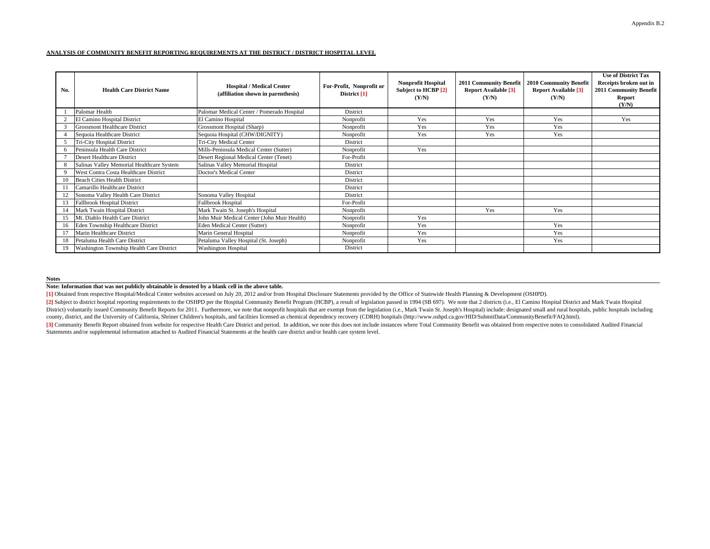### **ANALYSIS OF COMMUNITY BENEFIT REPORTING REQUIREMENTS AT THE DISTRICT / DISTRICT HOSPITAL LEVEL**

| No. | <b>Health Care District Name</b>          | <b>Hospital / Medical Center</b><br>(affiliation shown in parenthesis) | For-Profit, Nonprofit or<br>District $[1]$ | <b>Nonprofit Hospital</b><br>Subject to HCBP [2]<br>(Y/N) | 2011 Community Benefit<br><b>Report Available [3]</b><br>(Y/N) | 2010 Community Benefit<br><b>Report Available [3]</b><br>(Y/N) | <b>Use of District Tax</b><br>Receipts broken out in<br>2011 Community Benefit<br>Report<br>(Y/N) |
|-----|-------------------------------------------|------------------------------------------------------------------------|--------------------------------------------|-----------------------------------------------------------|----------------------------------------------------------------|----------------------------------------------------------------|---------------------------------------------------------------------------------------------------|
|     | Palomar Health                            | Palomar Medical Center / Pomerado Hospital                             | District                                   |                                                           |                                                                |                                                                |                                                                                                   |
|     | El Camino Hospital District               | El Camino Hospital                                                     | Nonprofit                                  | Yes                                                       | Yes                                                            | Yes                                                            | Yes                                                                                               |
|     | <b>Grossmont Healthcare District</b>      | Grossmont Hospital (Sharp)                                             | Nonprofit                                  | Yes                                                       | Yes                                                            | Yes                                                            |                                                                                                   |
|     | Sequoia Healthcare District               | Sequoia Hospital (CHW/DIGNITY)                                         | Nonprofit                                  | Yes                                                       | Yes                                                            | Yes                                                            |                                                                                                   |
|     | <b>Tri-City Hospital District</b>         | Tri-City Medical Center                                                | <b>District</b>                            |                                                           |                                                                |                                                                |                                                                                                   |
|     | Peninsula Health Care District            | Mills-Peninsula Medical Center (Sutter)                                | Nonprofit                                  | Yes                                                       |                                                                |                                                                |                                                                                                   |
|     | <b>Desert Healthcare District</b>         | Desert Regional Medical Center (Tenet)                                 | For-Profit                                 |                                                           |                                                                |                                                                |                                                                                                   |
|     | Salinas Valley Memorial Healthcare System | Salinas Valley Memorial Hospital                                       | District                                   |                                                           |                                                                |                                                                |                                                                                                   |
|     | West Contra Costa Healthcare District     | Doctor's Medical Center                                                | District                                   |                                                           |                                                                |                                                                |                                                                                                   |
| 10  | <b>Beach Cities Health District</b>       |                                                                        | District                                   |                                                           |                                                                |                                                                |                                                                                                   |
|     | Camarillo Healthcare District             |                                                                        | District                                   |                                                           |                                                                |                                                                |                                                                                                   |
|     | Sonoma Valley Health Care District        | Sonoma Valley Hospital                                                 | District                                   |                                                           |                                                                |                                                                |                                                                                                   |
| 13  | <b>Fallbrook Hospital District</b>        | <b>Fallbrook Hospital</b>                                              | For-Profit                                 |                                                           |                                                                |                                                                |                                                                                                   |
|     | Mark Twain Hospital District              | Mark Twain St. Joseph's Hospital                                       | Nonprofit                                  |                                                           | Yes                                                            | Yes                                                            |                                                                                                   |
|     | Mt. Diablo Health Care District           | John Muir Medical Center (John Muir Health)                            | Nonprofit                                  | Yes                                                       |                                                                |                                                                |                                                                                                   |
| 16  | Eden Township Healthcare District         | Eden Medical Center (Sutter)                                           | Nonprofit                                  | Yes                                                       |                                                                | Yes                                                            |                                                                                                   |
|     | Marin Healthcare District                 | Marin General Hospital                                                 | Nonprofit                                  | Yes                                                       |                                                                | <b>Yes</b>                                                     |                                                                                                   |
| 18  | Petaluma Health Care District             | Petaluma Valley Hospital (St. Joseph)                                  | Nonprofit                                  | Yes                                                       |                                                                | Yes                                                            |                                                                                                   |
| 19  | Washington Township Health Care District  | <b>Washington Hospital</b>                                             | District                                   |                                                           |                                                                |                                                                |                                                                                                   |

**Notes**

**Note: Information that was not publicly obtainable is denoted by a blank cell in the above table.**

**[1]** Obtained from respective Hospital/Medical Center websites accessed on July 20, 2012 and/or from Hospital Disclosure Statements provided by the Office of Statewide Health Planning & Development (OSHPD).

[2] Subject to district hospital reporting requirements to the OSHPD per the Hospital Community Benefit Program (HCBP), a result of legislation passed in 1994 (SB 697). We note that 2 districts (i.e., El Camino Hospital Di District) voluntarily issued Community Benefit Reports for 2011. Furthermore, we note that nonprofit hospitals that are exempt from the legislation (i.e., Mark Twain St. Joseph's Hospital) include: designated small and rur county, district, and the University of California, Shriner Children's hospitals, and facilities licensed as chemical dependency recovery (CDRH) hospitals (http://www.oshpd.ca.gov/HID/SubmitData/CommunityBenefit/FAQ.html).

[3] Community Benefit Report obtained from website for respective Health Care District and period. In addition, we note this does not include instances where Total Community Benefit was obtained from respective notes to co Statements and/or supplemental information attached to Audited Financial Statements at the health care district and/or health care system level.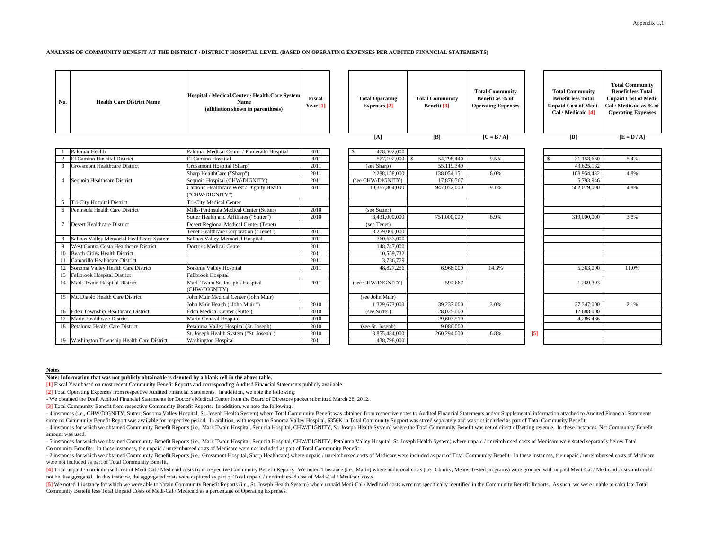#### **ANALYSIS OF COMMUNITY BENEFIT AT THE DISTRICT / DISTRICT HOSPITAL LEVEL (BASED ON OPERATING EXPENSES PER AUDITED FINANCIAL STATEMENTS)**

| No.         | <b>Health Care District Name</b>            | Hospital / Medical Center / Health Care System<br>Name<br>(affiliation shown in parenthesis) | Fiscal<br>Year $[1]$ | <b>Total Operating</b><br><b>Expenses</b> [2] | <b>Total Community</b><br>Benefit [3]  | <b>Total Community</b><br>Benefit as % of<br><b>Operating Expenses</b> |     | <b>Total Community</b><br><b>Benefit less Total</b><br><b>Unpaid Cost of Medi-</b><br>Cal / Medicaid [4] | <b>Total Community</b><br><b>Benefit less Total</b><br><b>Unpaid Cost of Medi-</b><br>Cal / Medicaid as % of<br><b>Operating Expenses</b> |
|-------------|---------------------------------------------|----------------------------------------------------------------------------------------------|----------------------|-----------------------------------------------|----------------------------------------|------------------------------------------------------------------------|-----|----------------------------------------------------------------------------------------------------------|-------------------------------------------------------------------------------------------------------------------------------------------|
|             |                                             |                                                                                              |                      | [A]                                           | [B]                                    | $[C = B / A]$                                                          |     | [D]                                                                                                      | $[E = D / A]$                                                                                                                             |
|             | Palomar Health                              | Palomar Medical Center / Pomerado Hospital                                                   | 2011                 | 478,502,000                                   |                                        |                                                                        |     |                                                                                                          |                                                                                                                                           |
|             | El Camino Hospital District                 | El Camino Hospital                                                                           | 2011                 | 577,102,000                                   | 54,798,440<br>$\overline{\phantom{a}}$ | 9.5%                                                                   |     | 31,158,650                                                                                               | 5.4%                                                                                                                                      |
| 3           | <b>Grossmont Healthcare District</b>        | Grossmont Hospital (Sharp)                                                                   | 2011                 | (see Sharp)                                   | 55,119,349                             |                                                                        |     | 43.625.132                                                                                               |                                                                                                                                           |
|             |                                             | Sharp HealthCare ("Sharp")                                                                   | 2011                 | 2.288,158,000                                 | 138,054,151                            | 6.0%                                                                   |     | 108,954,432                                                                                              | 4.8%                                                                                                                                      |
|             | 4 Sequoia Healthcare District               | Sequoia Hospital (CHW/DIGNITY)                                                               | 2011                 | (see CHW/DIGNITY)                             | 17,878,567                             |                                                                        |     | 5,793,946                                                                                                |                                                                                                                                           |
|             |                                             | Catholic Healthcare West / Dignity Health<br>"CHW/DIGNITY")                                  | 2011                 | 10,367,804,000                                | 947,052,000                            | 9.1%                                                                   |     | 502,079,000                                                                                              | 4.8%                                                                                                                                      |
|             | 5 Tri-City Hospital District                | <b>Tri-City Medical Center</b>                                                               |                      |                                               |                                        |                                                                        |     |                                                                                                          |                                                                                                                                           |
| 6           | Peninsula Health Care District              | Mills-Peninsula Medical Center (Sutter)                                                      | 2010                 | (see Sutter)                                  |                                        |                                                                        |     |                                                                                                          |                                                                                                                                           |
|             |                                             | Sutter Health and Affiliates ("Sutter")                                                      | 2010                 | 8,431,000,000                                 | 751,000,000                            | 8.9%                                                                   |     | 319,000,000                                                                                              | 3.8%                                                                                                                                      |
|             | <b>Desert Healthcare District</b>           | Desert Regional Medical Center (Tenet)                                                       |                      | (see Tenet)                                   |                                        |                                                                        |     |                                                                                                          |                                                                                                                                           |
|             |                                             | Tenet Healthcare Corporation ("Tenet")                                                       | 2011                 | 8.259.000,000                                 |                                        |                                                                        |     |                                                                                                          |                                                                                                                                           |
|             | Salinas Valley Memorial Healthcare System   | Salinas Valley Memorial Hospital                                                             | 2011                 | 360,653,000                                   |                                        |                                                                        |     |                                                                                                          |                                                                                                                                           |
| $\mathbf Q$ | West Contra Costa Healthcare District       | Doctor's Medical Center                                                                      | 2011                 | 148,747,000                                   |                                        |                                                                        |     |                                                                                                          |                                                                                                                                           |
|             | <b>Beach Cities Health District</b>         |                                                                                              | 2011                 | 10,559,732                                    |                                        |                                                                        |     |                                                                                                          |                                                                                                                                           |
|             | Camarillo Healthcare District               |                                                                                              | 2011                 | 3.736.779                                     |                                        |                                                                        |     |                                                                                                          |                                                                                                                                           |
|             | Sonoma Valley Health Care District          | Sonoma Valley Hospital                                                                       | 2011                 | 48,827,256                                    | 6,968,000                              | 14.3%                                                                  |     | 5,363,000                                                                                                | 11.0%                                                                                                                                     |
|             | Fallbrook Hospital District                 | Fallbrook Hospital                                                                           |                      |                                               |                                        |                                                                        |     |                                                                                                          |                                                                                                                                           |
|             | 14 Mark Twain Hospital District             | Mark Twain St. Joseph's Hospital<br>(CHW/DIGNITY)                                            | 2011                 | (see CHW/DIGNITY)                             | 594,667                                |                                                                        |     | 1,269,393                                                                                                |                                                                                                                                           |
|             | 15 Mt. Diablo Health Care District          | John Muir Medical Center (John Muir)                                                         |                      | (see John Muir)                               |                                        |                                                                        |     |                                                                                                          |                                                                                                                                           |
|             |                                             | John Muir Health ("John Muir")                                                               | 2010                 | 1,329,673,000                                 | 39,237,000                             | 3.0%                                                                   |     | 27,347,000                                                                                               | 2.1%                                                                                                                                      |
|             | 16 Eden Township Healthcare District        | Eden Medical Center (Sutter)                                                                 | 2010                 | (see Sutter)                                  | 28,025,000                             |                                                                        |     | 12,688,000                                                                                               |                                                                                                                                           |
|             | Marin Healthcare District                   | Marin General Hospital                                                                       | 2010                 |                                               | 29,603,519                             |                                                                        |     | 4,286,486                                                                                                |                                                                                                                                           |
| 18          | Petaluma Health Care District               | Petaluma Valley Hospital (St. Joseph)                                                        | 2010                 | (see St. Joseph)                              | 9,080,000                              |                                                                        |     |                                                                                                          |                                                                                                                                           |
|             |                                             | St. Joseph Health System ("St. Joseph")                                                      | 2010                 | 3,855,484,000                                 | 260,294,000                            | 6.8%                                                                   | [5] |                                                                                                          |                                                                                                                                           |
|             | 19 Washington Township Health Care District | <b>Washington Hospital</b>                                                                   | 2011                 | 438,798,000                                   |                                        |                                                                        |     |                                                                                                          |                                                                                                                                           |

#### **Notes**

**Note: Information that was not publicly obtainable is denoted by a blank cell in the above table.**

**[1]** Fiscal Year based on most recent Community Benefit Reports and corresponding Audited Financial Statements publicly available.

**[2]** Total Operating Expenses from respective Audited Financial Statements. In addition, we note the following:

- We obtained the Draft Audited Financial Statements for Doctor's Medical Center from the Board of Directors packet submitted March 28, 2012.

**[3]** Total Community Benefit from respective Community Benefit Reports. In addition, we note the following:

- 4 instances (i.e., CHW/DIGNITY, Sutter, Sonoma Valley Hospital, St. Joseph Health System) where Total Community Benefit was obtained from respective notes to Audited Financial Statements and/or Supplemental information a since no Community Benefit Report was available for respective period. In addition, with respect to Sonoma Valley Hospital, \$356K in Total Community Support was stated separately and was not included as part of Total Commu

- 4 instances for which we obtained Community Benefit Reports (i.e., Mark Twain Hospital, Sequoia Hospital, CHW/DIGNITY, St. Joseph Health System) where the Total Community Benefit was net of direct offsetting revenue. In amount was used.

- 5 instances for which we obtained Community Benefit Reports (i.e., Mark Twain Hospital, Sequoia Hospital, CHW/DIGNITY, Petaluma Valley Hospital, St. Joseph Health System) where unpaid / unreimbursed costs of Medicare wer Community Benefits. In these instances, the unpaid / unreimbursed costs of Medicare were not included as part of Total Community Benefit.

- 2 instances for which we obtained Community Benefit Reports (i.e., Grossmont Hospital, Sharp Healthcare) where unpaid / unreimbursed costs of Medicare were included as part of Total Community Benefit. In these instances, were not included as part of Total Community Benefit.

[4] Total unpaid / unreimbursed cost of Medi-Cal / Medicaid costs from respective Community Benefit Reports. We noted 1 instance (i.e., Marin) where additional costs (i.e., Charity, Means-Tested programs) were grouped with not be disaggregated. In this instance, the aggregated costs were captured as part of Total unpaid / unreimbursed cost of Medi-Cal / Medicaid costs.

[5] We noted 1 instance for which we were able to obtain Community Benefit Reports (i.e., St. Joseph Health System) where unpaid Medi-Cal / Medicaid costs were not specifically identified in the Community Benefit Reports. Community Benefit less Total Unpaid Costs of Medi-Cal / Medicaid as a percentage of Operating Expenses.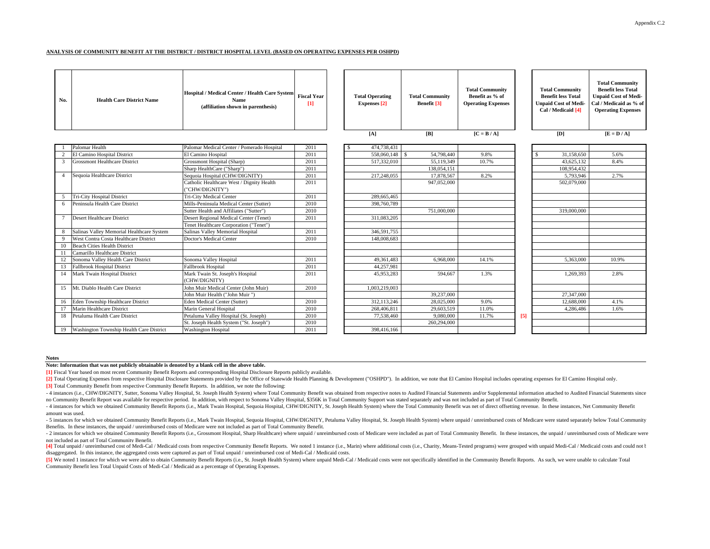#### **ANALYSIS OF COMMUNITY BENEFIT AT THE DISTRICT / DISTRICT HOSPITAL LEVEL (BASED ON OPERATING EXPENSES PER OSHPD)**

| No.             | <b>Health Care District Name</b>          | Hospital / Medical Center / Health Care System<br><b>Name</b><br>(affiliation shown in parenthesis) | <b>Fiscal Year</b><br>$[1]$ | <b>Total Operating</b><br><b>Expenses</b> [2]<br>[A] | <b>Total Community</b><br>Benefit [3]<br>[B] | <b>Total Community</b><br>Benefit as % of<br><b>Operating Expenses</b><br>$[C = B / A]$ |     | <b>Total Community</b><br><b>Benefit less Total</b><br><b>Unpaid Cost of Medi-</b><br>Cal / Medicaid [4]<br>[D] | <b>Total Community</b><br><b>Benefit less Total</b><br><b>Unpaid Cost of Medi-</b><br>Cal / Medicaid as % of<br><b>Operating Expenses</b><br>$[E = D / A]$ |
|-----------------|-------------------------------------------|-----------------------------------------------------------------------------------------------------|-----------------------------|------------------------------------------------------|----------------------------------------------|-----------------------------------------------------------------------------------------|-----|-----------------------------------------------------------------------------------------------------------------|------------------------------------------------------------------------------------------------------------------------------------------------------------|
|                 |                                           |                                                                                                     |                             |                                                      |                                              |                                                                                         |     |                                                                                                                 |                                                                                                                                                            |
|                 | Palomar Health                            | Palomar Medical Center / Pomerado Hospital                                                          | 2011                        | 474,738,431                                          |                                              |                                                                                         |     |                                                                                                                 |                                                                                                                                                            |
|                 | El Camino Hospital District               | El Camino Hospital                                                                                  | 2011                        | 558,060,148 \$                                       | 54,798,440                                   | 9.8%                                                                                    |     | 31,158,650                                                                                                      | 5.6%                                                                                                                                                       |
| 3               | <b>Grossmont Healthcare District</b>      | Grossmont Hospital (Sharp)                                                                          | 2011                        | 517,332,010                                          | 55.119.349                                   | 10.7%                                                                                   |     | 43.625.132                                                                                                      | 8.4%                                                                                                                                                       |
|                 |                                           | Sharp HealthCare ("Sharp")                                                                          | 2011                        |                                                      | 138,054,151                                  |                                                                                         |     | 108,954,432                                                                                                     |                                                                                                                                                            |
| $\overline{4}$  | Sequoia Healthcare District               | Sequoia Hospital (CHW/DIGNITY)                                                                      | 2011                        | 217,248,055                                          | 17,878,567                                   | 8.2%                                                                                    |     | 5,793,946                                                                                                       | 2.7%                                                                                                                                                       |
|                 |                                           | Catholic Healthcare West / Dignity Health<br>"CHW/DIGNITY")                                         | 2011                        |                                                      | 947,052,000                                  |                                                                                         |     | 502,079,000                                                                                                     |                                                                                                                                                            |
| -5              | Tri-City Hospital District                | Tri-City Medical Center                                                                             | 2011                        | 289,665,465                                          |                                              |                                                                                         |     |                                                                                                                 |                                                                                                                                                            |
| 6               | Peninsula Health Care District            | Mills-Peninsula Medical Center (Sutter)                                                             | 2010                        | 398,760,789                                          |                                              |                                                                                         |     |                                                                                                                 |                                                                                                                                                            |
|                 |                                           | Sutter Health and Affiliates ("Sutter")                                                             | 2010                        |                                                      | 751,000,000                                  |                                                                                         |     | 319,000,000                                                                                                     |                                                                                                                                                            |
| $7\phantom{.0}$ | Desert Healthcare District                | Desert Regional Medical Center (Tenet)                                                              | 2011                        | 311,083,205                                          |                                              |                                                                                         |     |                                                                                                                 |                                                                                                                                                            |
|                 |                                           | Tenet Healthcare Corporation ("Tenet")                                                              |                             |                                                      |                                              |                                                                                         |     |                                                                                                                 |                                                                                                                                                            |
|                 | Salinas Valley Memorial Healthcare System | Salinas Valley Memorial Hospital                                                                    | 2011                        | 346,591,755                                          |                                              |                                                                                         |     |                                                                                                                 |                                                                                                                                                            |
|                 | West Contra Costa Healthcare District     | Doctor's Medical Center                                                                             | 2010                        | 148,008,683                                          |                                              |                                                                                         |     |                                                                                                                 |                                                                                                                                                            |
| 10              | <b>Beach Cities Health District</b>       |                                                                                                     |                             |                                                      |                                              |                                                                                         |     |                                                                                                                 |                                                                                                                                                            |
| 11              | Camarillo Healthcare District             |                                                                                                     |                             |                                                      |                                              |                                                                                         |     |                                                                                                                 |                                                                                                                                                            |
| 12              | Sonoma Valley Health Care District        | Sonoma Valley Hospital                                                                              | 2011                        | 49,361,483                                           | 6,968,000                                    | 14.1%                                                                                   |     | 5,363,000                                                                                                       | 10.9%                                                                                                                                                      |
| 13              | <b>Fallbrook Hospital District</b>        | <b>Fallbrook Hospital</b>                                                                           | 2011                        | 44,257,981                                           |                                              |                                                                                         |     |                                                                                                                 |                                                                                                                                                            |
| 14              | Mark Twain Hospital District              | Mark Twain St. Joseph's Hospital<br>(CHW/DIGNITY)                                                   | 2011                        | 45,953,283                                           | 594,667                                      | 1.3%                                                                                    |     | 1,269,393                                                                                                       | 2.8%                                                                                                                                                       |
| 15              | Mt. Diablo Health Care District           | John Muir Medical Center (John Muir)                                                                | 2010                        | 1,003,219,003                                        |                                              |                                                                                         |     |                                                                                                                 |                                                                                                                                                            |
|                 |                                           | John Muir Health ("John Muir "                                                                      |                             |                                                      | 39,237,000                                   |                                                                                         |     | 27,347,000                                                                                                      |                                                                                                                                                            |
| 16              | Eden Township Healthcare District         | Eden Medical Center (Sutter)                                                                        | 2010                        | 312,113,246                                          | 28,025,000                                   | 9.0%                                                                                    |     | 12,688,000                                                                                                      | 4.1%                                                                                                                                                       |
| 17              | Marin Healthcare District                 | Marin General Hospital                                                                              | 2010                        | 268,406,811                                          | 29,603,519                                   | 11.0%                                                                                   |     | 4,286,486                                                                                                       | 1.6%                                                                                                                                                       |
| 18              | Petaluma Health Care District             | Petaluma Valley Hospital (St. Joseph)                                                               | 2010                        | 77,538,460                                           | 9,080,000                                    | 11.7%                                                                                   | [5] |                                                                                                                 |                                                                                                                                                            |
|                 |                                           | St. Joseph Health System ("St. Joseph")                                                             | 2010                        |                                                      | 260,294,000                                  |                                                                                         |     |                                                                                                                 |                                                                                                                                                            |
| 19              | Washington Township Health Care District  | <b>Washington Hospital</b>                                                                          | 2011                        | 398,416,166                                          |                                              |                                                                                         |     |                                                                                                                 |                                                                                                                                                            |

#### **Notes**

**Note: Information that was not publicly obtainable is denoted by a blank cell in the above table.**

**[1]** Fiscal Year based on most recent Community Benefit Reports and corresponding Hospital Disclosure Reports publicly available.

[2] Total Operating Expenses from respective Hospital Disclosure Statements provided by the Office of Statewide Health Planning & Development ("OSHPD"). In addition, we note that El Camino Hospital includes operating expen **[3]** Total Community Benefit from respective Community Benefit Reports. In addition, we note the following:

- 4 instances (i.e., CHW/DIGNITY, Sutter, Sonoma Valley Hospital, St. Joseph Health System) where Total Community Benefit was obtained from respective notes to Audited Financial Statements and/or Supplemental information a no Community Benefit Report was available for respective period. In addition, with respect to Sonoma Valley Hospital, \$356K in Total Community Support was stated separately and was not included as part of Total Community B

- 4 instances for which we obtained Community Benefit Reports (i.e., Mark Twain Hospital, Sequoia Hospital, CHW/DIGNITY, St. Joseph Health System) where the Total Community Benefit was net of direct offsetting revenue. In amount was used.

- 5 instances for which we obtained Community Benefit Reports (i.e., Mark Twain Hospital, Sequoia Hospital, CHW/DIGNITY, Petaluma Valley Hospital, St. Joseph Health System) where unpaid / unreimbursed costs of Medicare wer Benefits. In these instances, the unpaid / unreimbursed costs of Medicare were not included as part of Total Community Benefit.

- 2 instances for which we obtained Community Benefit Reports (i.e., Grossmont Hospital, Sharp Healthcare) where unpaid / unreimbursed costs of Medicare were included as part of Total Community Benefit. In these instances, not included as part of Total Community Benefit.

14] Total unpaid / unreimbursed cost of Medi-Cal / Medicaid costs from respective Community Benefit Reports. We noted 1 instance (i.e., Marin) where additional costs (i.e., Charity, Means-Tested programs) were grouped with disaggregated. In this instance, the aggregated costs were captured as part of Total unpaid / unreimbursed cost of Medi-Cal / Medicaid costs.

[5] We noted 1 instance for which we were able to obtain Community Benefit Reports (i.e., St. Joseph Health System) where unpaid Medi-Cal / Medicaid costs were not specifically identified in the Community Benefit Reports. Community Benefit less Total Unpaid Costs of Medi-Cal / Medicaid as a percentage of Operating Expenses.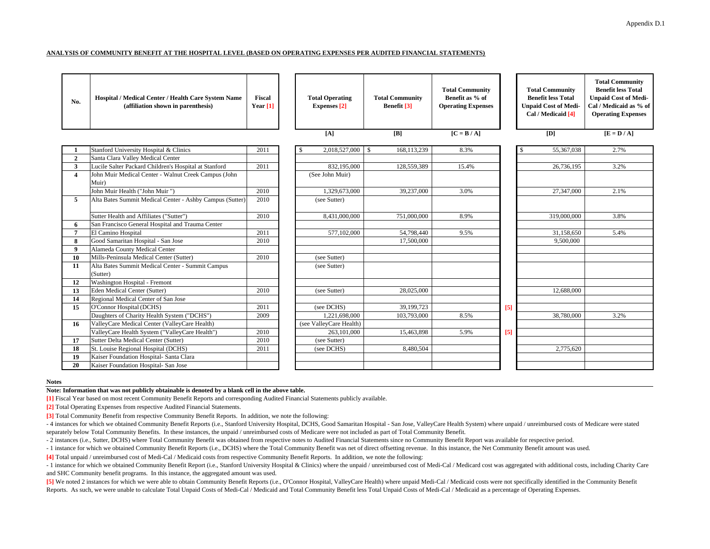#### **ANALYSIS OF COMMUNITY BENEFIT AT THE HOSPITAL LEVEL (BASED ON OPERATING EXPENSES PER AUDITED FINANCIAL STATEMENTS)**

| No.            | Hospital / Medical Center / Health Care System Name<br>(affiliation shown in parenthesis) | <b>Fiscal</b><br>Year $[1]$ | <b>Total Operating</b><br><b>Expenses</b> [2] | <b>Total Community</b><br>Benefit [3] | <b>Total Community</b><br>Benefit as % of<br><b>Operating Expenses</b> |       | <b>Total Community</b><br><b>Benefit less Total</b><br><b>Unpaid Cost of Medi-</b><br>Cal / Medicaid [4] | <b>Total Community</b><br><b>Benefit less Total</b><br><b>Unpaid Cost of Medi-</b><br>Cal / Medicaid as % of<br><b>Operating Expenses</b> |
|----------------|-------------------------------------------------------------------------------------------|-----------------------------|-----------------------------------------------|---------------------------------------|------------------------------------------------------------------------|-------|----------------------------------------------------------------------------------------------------------|-------------------------------------------------------------------------------------------------------------------------------------------|
|                |                                                                                           |                             | [A]                                           | [B]                                   | $[C = B / A]$                                                          |       | [D]                                                                                                      | $\overline{E} = \overline{D / A}$                                                                                                         |
|                | Stanford University Hospital & Clinics                                                    | 2011                        | 2,018,527,000                                 | 168,113,239<br>- \$                   | 8.3%                                                                   |       | 55,367,038                                                                                               | 2.7%                                                                                                                                      |
| $\overline{2}$ | Santa Clara Valley Medical Center                                                         |                             |                                               |                                       |                                                                        |       |                                                                                                          |                                                                                                                                           |
| 3              | Lucile Salter Packard Children's Hospital at Stanford                                     | 2011                        | 832,195,000                                   | 128,559,389                           | 15.4%                                                                  |       | 26,736,195                                                                                               | 3.2%                                                                                                                                      |
| $\overline{4}$ | John Muir Medical Center - Walnut Creek Campus (John<br>Muir)                             |                             | (See John Muir)                               |                                       |                                                                        |       |                                                                                                          |                                                                                                                                           |
|                | John Muir Health ("John Muir")                                                            | 2010                        | 1,329,673,000                                 | 39,237,000                            | 3.0%                                                                   |       | 27,347,000                                                                                               | 2.1%                                                                                                                                      |
| 5              | Alta Bates Summit Medical Center - Ashby Campus (Sutter)                                  | 2010                        | (see Sutter)                                  |                                       |                                                                        |       |                                                                                                          |                                                                                                                                           |
|                | Sutter Health and Affiliates ("Sutter")                                                   | 2010                        | 8,431,000,000                                 | 751,000,000                           | 8.9%                                                                   |       | 319,000,000                                                                                              | 3.8%                                                                                                                                      |
| 6              | San Francisco General Hospital and Trauma Center                                          |                             |                                               |                                       |                                                                        |       |                                                                                                          |                                                                                                                                           |
| 7              | El Camino Hospital                                                                        | 2011                        | 577,102,000                                   | 54,798,440                            | 9.5%                                                                   |       | 31,158,650                                                                                               | 5.4%                                                                                                                                      |
| 8              | Good Samaritan Hospital - San Jose                                                        | 2010                        |                                               | 17,500,000                            |                                                                        |       | 9,500,000                                                                                                |                                                                                                                                           |
| $\mathbf{o}$   | Alameda County Medical Center                                                             |                             |                                               |                                       |                                                                        |       |                                                                                                          |                                                                                                                                           |
| 10             | Mills-Peninsula Medical Center (Sutter)                                                   | 2010                        | (see Sutter)                                  |                                       |                                                                        |       |                                                                                                          |                                                                                                                                           |
| 11             | Alta Bates Summit Medical Center - Summit Campus<br>(Sutter)                              |                             | (see Sutter)                                  |                                       |                                                                        |       |                                                                                                          |                                                                                                                                           |
| 12             | Washington Hospital - Fremont                                                             |                             |                                               |                                       |                                                                        |       |                                                                                                          |                                                                                                                                           |
| 13             | Eden Medical Center (Sutter)                                                              | 2010                        | (see Sutter)                                  | 28,025,000                            |                                                                        |       | 12,688,000                                                                                               |                                                                                                                                           |
| 14             | Regional Medical Center of San Jose                                                       |                             |                                               |                                       |                                                                        |       |                                                                                                          |                                                                                                                                           |
| 15             | O'Connor Hospital (DCHS)                                                                  | 2011                        | (see DCHS)                                    | 39,199,723                            |                                                                        | [5]   |                                                                                                          |                                                                                                                                           |
|                | Daughters of Charity Health System ("DCHS")                                               | 2009                        | 1,221,698,000                                 | 103,793,000                           | 8.5%                                                                   |       | 38,780,000                                                                                               | 3.2%                                                                                                                                      |
| 16             | ValleyCare Medical Center (ValleyCare Health)                                             |                             | (see ValleyCare Health)                       |                                       |                                                                        |       |                                                                                                          |                                                                                                                                           |
|                | ValleyCare Health System ("ValleyCare Health")                                            | 2010                        | 263,101,000                                   | 15,463,898                            | 5.9%                                                                   | $[5]$ |                                                                                                          |                                                                                                                                           |
| 17             | Sutter Delta Medical Center (Sutter)                                                      | 2010                        | (see Sutter)                                  |                                       |                                                                        |       |                                                                                                          |                                                                                                                                           |
| 18             | St. Louise Regional Hospital (DCHS)                                                       | 2011                        | (see DCHS)                                    | 8,480,504                             |                                                                        |       | 2,775,620                                                                                                |                                                                                                                                           |
| 19             | Kaiser Foundation Hospital- Santa Clara                                                   |                             |                                               |                                       |                                                                        |       |                                                                                                          |                                                                                                                                           |
| 20             | Kaiser Foundation Hospital- San Jose                                                      |                             |                                               |                                       |                                                                        |       |                                                                                                          |                                                                                                                                           |

**Notes**

### **Note: Information that was not publicly obtainable is denoted by a blank cell in the above table.**

**[1]** Fiscal Year based on most recent Community Benefit Reports and corresponding Audited Financial Statements publicly available.

**[2]** Total Operating Expenses from respective Audited Financial Statements.

**[3]** Total Community Benefit from respective Community Benefit Reports. In addition, we note the following:

- 4 instances for which we obtained Community Benefit Reports (i.e., Stanford University Hospital, DCHS, Good Samaritan Hospital - San Jose, ValleyCare Health System) where unpaid / unreimbursed costs of Medicare were stated separately below Total Community Benefits. In these instances, the unpaid / unreimbursed costs of Medicare were not included as part of Total Community Benefit.

- 2 instances (i.e., Sutter, DCHS) where Total Community Benefit was obtained from respective notes to Audited Financial Statements since no Community Benefit Report was available for respective period.

- 1 instance for which we obtained Community Benefit Reports (i.e., DCHS) where the Total Community Benefit was net of direct offsetting revenue. In this instance, the Net Community Benefit amount was used.

**[4]** Total unpaid / unreimbursed cost of Medi-Cal / Medicaid costs from respective Community Benefit Reports. In addition, we note the following:

- 1 instance for which we obtained Community Benefit Report (i.e., Stanford University Hospital & Clinics) where the unpaid / unreimbursed cost of Medi-Cal / Medicard cost was aggregated with additional costs, including Ch and SHC Community benefit programs. In this instance, the aggregated amount was used.

[5] We noted 2 instances for which we were able to obtain Community Benefit Reports (i.e., O'Connor Hospital, ValleyCare Health) where unpaid Medi-Cal / Medicaid costs were not specifically identified in the Community Bene Reports. As such, we were unable to calculate Total Unpaid Costs of Medi-Cal / Medicaid and Total Community Benefit less Total Unpaid Costs of Medi-Cal / Medicaid as a percentage of Operating Expenses.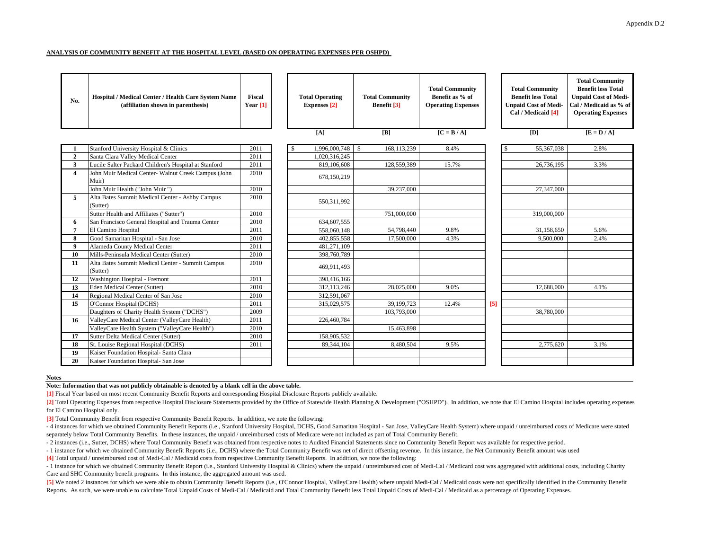#### **ANALYSIS OF COMMUNITY BENEFIT AT THE HOSPITAL LEVEL (BASED ON OPERATING EXPENSES PER OSHPD)**

| No.            | Hospital / Medical Center / Health Care System Name<br>(affiliation shown in parenthesis) | <b>Fiscal</b><br>Year $[1]$ | <b>Total Operating</b><br><b>Expenses</b> [2] | <b>Total Community</b><br>Benefit [3] | <b>Total Community</b><br>Benefit as % of<br><b>Operating Expenses</b> |     | <b>Total Community</b><br><b>Benefit less Total</b><br><b>Unpaid Cost of Medi-</b><br>Cal / Medicaid [4] | <b>Total Community</b><br><b>Benefit less Total</b><br><b>Unpaid Cost of Medi-</b><br>Cal / Medicaid as % of<br><b>Operating Expenses</b> |
|----------------|-------------------------------------------------------------------------------------------|-----------------------------|-----------------------------------------------|---------------------------------------|------------------------------------------------------------------------|-----|----------------------------------------------------------------------------------------------------------|-------------------------------------------------------------------------------------------------------------------------------------------|
|                |                                                                                           |                             | [A]                                           | [B]                                   | $[C = B / A]$                                                          |     | [D]                                                                                                      | $[E = D / A]$                                                                                                                             |
|                | Stanford University Hospital & Clinics                                                    | 2011                        | 1,996,000,748                                 | 168,113,239<br><sup>S</sup>           | 8.4%                                                                   |     | 55,367,038                                                                                               | 2.8%                                                                                                                                      |
| $\overline{2}$ | Santa Clara Valley Medical Center                                                         | 2011                        | 1,020,316,245                                 |                                       |                                                                        |     |                                                                                                          |                                                                                                                                           |
| 3              | Lucile Salter Packard Children's Hospital at Stanford                                     | 2011                        | 819,106,608                                   | 128,559,389                           | 15.7%                                                                  |     | 26,736,195                                                                                               | 3.3%                                                                                                                                      |
| $\overline{4}$ | John Muir Medical Center- Walnut Creek Campus (John<br>Muir)                              | 2010                        | 678,150,219                                   |                                       |                                                                        |     |                                                                                                          |                                                                                                                                           |
|                | John Muir Health ("John Muir")                                                            | 2010                        |                                               | 39,237,000                            |                                                                        |     | 27,347,000                                                                                               |                                                                                                                                           |
| 5              | Alta Bates Summit Medical Center - Ashby Campus<br>(Sutter)                               | 2010                        | 550,311,992                                   |                                       |                                                                        |     |                                                                                                          |                                                                                                                                           |
|                | Sutter Health and Affiliates ("Sutter")                                                   | 2010                        |                                               | 751,000,000                           |                                                                        |     | 319,000,000                                                                                              |                                                                                                                                           |
| 6              | San Francisco General Hospital and Trauma Center                                          | 2010                        | 634,607,555                                   |                                       |                                                                        |     |                                                                                                          |                                                                                                                                           |
| $\overline{7}$ | El Camino Hospital                                                                        | 2011                        | 558,060,148                                   | 54,798,440                            | 9.8%                                                                   |     | 31,158,650                                                                                               | 5.6%                                                                                                                                      |
| 8              | Good Samaritan Hospital - San Jose                                                        | 2010                        | 402,855,558                                   | 17,500,000                            | 4.3%                                                                   |     | 9,500,000                                                                                                | 2.4%                                                                                                                                      |
| 9              | Alameda County Medical Center                                                             | 2011                        | 481,271,109                                   |                                       |                                                                        |     |                                                                                                          |                                                                                                                                           |
| 10             | Mills-Peninsula Medical Center (Sutter)                                                   | 2010                        | 398,760,789                                   |                                       |                                                                        |     |                                                                                                          |                                                                                                                                           |
| 11             | Alta Bates Summit Medical Center - Summit Campus<br>(Sutter)                              | 2010                        | 469,911,493                                   |                                       |                                                                        |     |                                                                                                          |                                                                                                                                           |
| 12             | Washington Hospital - Fremont                                                             | 2011                        | 398,416,166                                   |                                       |                                                                        |     |                                                                                                          |                                                                                                                                           |
| 13             | Eden Medical Center (Sutter)                                                              | 2010                        | 312,113,246                                   | 28,025,000                            | 9.0%                                                                   |     | 12,688,000                                                                                               | 4.1%                                                                                                                                      |
| 14             | Regional Medical Center of San Jose                                                       | 2010                        | 312,591,067                                   |                                       |                                                                        |     |                                                                                                          |                                                                                                                                           |
| 15             | O'Connor Hospital (DCHS)                                                                  | 2011                        | 315,029,575                                   | 39,199,723                            | 12.4%                                                                  | [5] |                                                                                                          |                                                                                                                                           |
|                | Daughters of Charity Health System ("DCHS")                                               | 2009                        |                                               | 103,793,000                           |                                                                        |     | 38,780,000                                                                                               |                                                                                                                                           |
| 16             | ValleyCare Medical Center (ValleyCare Health)                                             | 2011                        | 226,460,784                                   |                                       |                                                                        |     |                                                                                                          |                                                                                                                                           |
|                | ValleyCare Health System ("ValleyCare Health")                                            | 2010                        |                                               | 15,463,898                            |                                                                        |     |                                                                                                          |                                                                                                                                           |
| 17             | Sutter Delta Medical Center (Sutter)                                                      | 2010                        | 158,905,532                                   |                                       |                                                                        |     |                                                                                                          |                                                                                                                                           |
| 18             | St. Louise Regional Hospital (DCHS)                                                       | 2011                        | 89,344,104                                    | 8,480,504                             | 9.5%                                                                   |     | 2,775,620                                                                                                | 3.1%                                                                                                                                      |
| 19             | Kaiser Foundation Hospital- Santa Clara                                                   |                             |                                               |                                       |                                                                        |     |                                                                                                          |                                                                                                                                           |
| 20             | Kaiser Foundation Hospital- San Jose                                                      |                             |                                               |                                       |                                                                        |     |                                                                                                          |                                                                                                                                           |

#### **Notes**

**Note: Information that was not publicly obtainable is denoted by a blank cell in the above table.**

**[1]** Fiscal Year based on most recent Community Benefit Reports and corresponding Hospital Disclosure Reports publicly available.

[2] Total Operating Expenses from respective Hospital Disclosure Statements provided by the Office of Statewide Health Planning & Development ("OSHPD"). In addition, we note that El Camino Hospital includes operating expen for El Camino Hospital only.

**[3]** Total Community Benefit from respective Community Benefit Reports. In addition, we note the following:

- 4 instances for which we obtained Community Benefit Reports (i.e., Stanford University Hospital, DCHS, Good Samaritan Hospital - San Jose, ValleyCare Health System) where unpaid / unreimbursed costs of Medicare were stat separately below Total Community Benefits. In these instances, the unpaid / unreimbursed costs of Medicare were not included as part of Total Community Benefit.

- 2 instances (i.e., Sutter, DCHS) where Total Community Benefit was obtained from respective notes to Audited Financial Statements since no Community Benefit Report was available for respective period.

- 1 instance for which we obtained Community Benefit Reports (i.e., DCHS) where the Total Community Benefit was net of direct offsetting revenue. In this instance, the Net Community Benefit amount was used

**[4]** Total unpaid / unreimbursed cost of Medi-Cal / Medicaid costs from respective Community Benefit Reports. In addition, we note the following:

- 1 instance for which we obtained Community Benefit Report (i.e., Stanford University Hospital & Clinics) where the unpaid / unreimbursed cost of Medi-Cal / Medicard cost was aggregated with additional costs, including Ch Care and SHC Community benefit programs. In this instance, the aggregated amount was used.

[5] We noted 2 instances for which we were able to obtain Community Benefit Reports (i.e., O'Connor Hospital, ValleyCare Health) where unpaid Medi-Cal / Medicaid costs were not specifically identified in the Community Bene Reports. As such, we were unable to calculate Total Unpaid Costs of Medi-Cal / Medicaid and Total Community Benefit less Total Unpaid Costs of Medi-Cal / Medicaid as a percentage of Operating Expenses.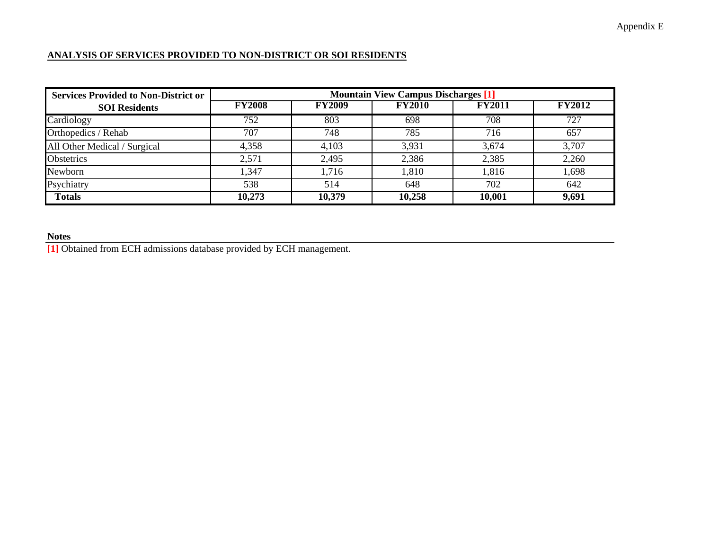### **ANALYSIS OF SERVICES PROVIDED TO NON-DISTRICT OR SOI RESIDENTS**

| <b>Services Provided to Non-District or</b> | <b>Mountain View Campus Discharges [1]</b> |               |               |               |               |  |  |  |  |  |  |
|---------------------------------------------|--------------------------------------------|---------------|---------------|---------------|---------------|--|--|--|--|--|--|
| <b>SOI</b> Residents                        | <b>FY2008</b>                              | <b>FY2009</b> | <b>FY2010</b> | <b>FY2011</b> | <b>FY2012</b> |  |  |  |  |  |  |
| Cardiology                                  | 752                                        | 803           | 698           | 708           | 727           |  |  |  |  |  |  |
| Orthopedics / Rehab                         | 707                                        | 748           | 785           | 716           | 657           |  |  |  |  |  |  |
| All Other Medical / Surgical                | 4,358                                      | 4,103         | 3,931         | 3,674         | 3,707         |  |  |  |  |  |  |
| Obstetrics                                  | 2,571                                      | 2,495         | 2,386         | 2,385         | 2,260         |  |  |  |  |  |  |
| Newborn                                     | 1,347                                      | 1,716         | 1,810         | 1,816         | 1,698         |  |  |  |  |  |  |
| Psychiatry                                  | 538                                        | 514           | 648           | 702           | 642           |  |  |  |  |  |  |
| <b>Totals</b>                               | 10,273                                     | 10,379        | 10,258        | 10,001        | 9,691         |  |  |  |  |  |  |

**Notes [1]** Obtained from ECH admissions database provided by ECH management.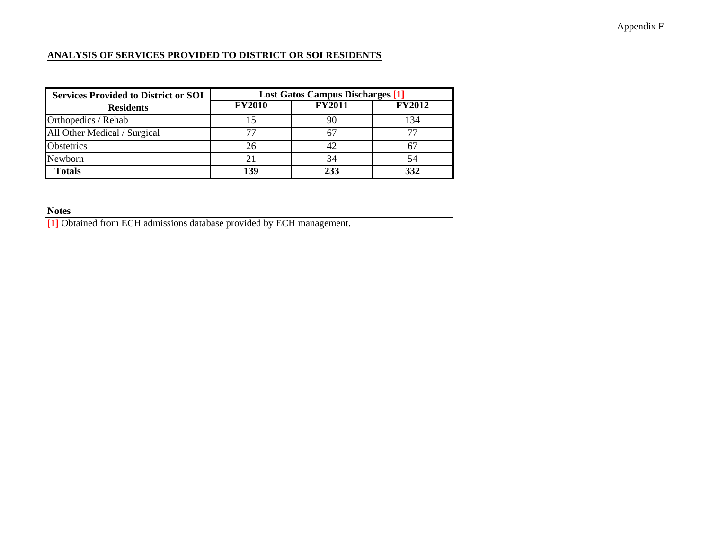## Appendix F

### **ANALYSIS OF SERVICES PROVIDED TO DISTRICT OR SOI RESIDENTS**

| <b>Services Provided to District or SOI</b> | <b>Lost Gatos Campus Discharges [1]</b> |               |                             |  |  |  |  |
|---------------------------------------------|-----------------------------------------|---------------|-----------------------------|--|--|--|--|
| <b>Residents</b>                            | <b>FY2010</b>                           | <b>FY2011</b> | $\overline{\text{FY2}}$ 012 |  |  |  |  |
| Orthopedics / Rehab                         |                                         | 90            | ' 34                        |  |  |  |  |
| All Other Medical / Surgical                |                                         |               |                             |  |  |  |  |
| Obstetrics                                  | 26                                      | 42            |                             |  |  |  |  |
| Newborn                                     |                                         | 34            |                             |  |  |  |  |
| <b>Totals</b>                               | 139                                     | 233           |                             |  |  |  |  |

**Notes**

**[1]** Obtained from ECH admissions database provided by ECH management.